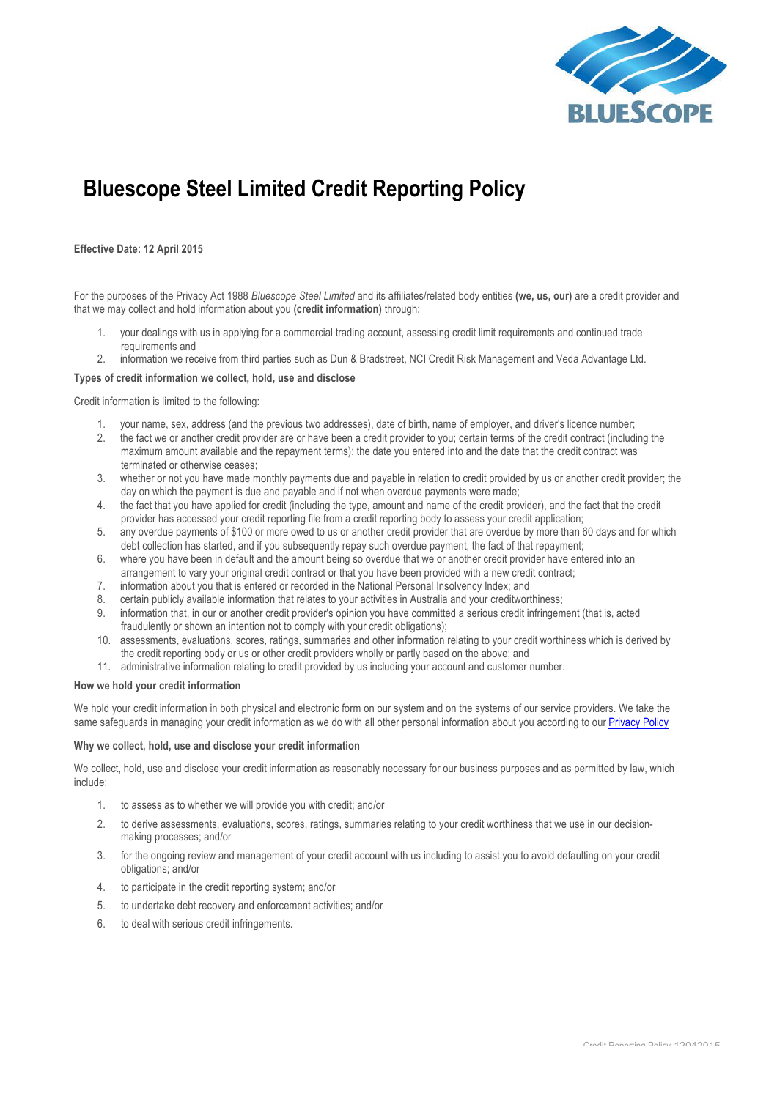

# **Bluescope Steel Limited Credit Reporting Policy**

## **Effective Date: 12 April 2015**

For the purposes of the Privacy Act 1988 *Bluescope Steel Limited* and its affiliates/related body entities **(we, us, our)** are a credit provider and that we may collect and hold information about you **(credit information)** through:

- 1. your dealings with us in applying for a commercial trading account, assessing credit limit requirements and continued trade requirements and
- 2. information we receive from third parties such as Dun & Bradstreet, NCI Credit Risk Management and Veda Advantage Ltd.

## **Types of credit information we collect, hold, use and disclose**

Credit information is limited to the following:

- 1. your name, sex, address (and the previous two addresses), date of birth, name of employer, and driver's licence number;
- 2. the fact we or another credit provider are or have been a credit provider to you; certain terms of the credit contract (including the maximum amount available and the repayment terms); the date you entered into and the date that the credit contract was terminated or otherwise ceases;
- 3. whether or not you have made monthly payments due and payable in relation to credit provided by us or another credit provider; the day on which the payment is due and payable and if not when overdue payments were made;
- 4. the fact that you have applied for credit (including the type, amount and name of the credit provider), and the fact that the credit provider has accessed your credit reporting file from a credit reporting body to assess your credit application;
- 5. any overdue payments of \$100 or more owed to us or another credit provider that are overdue by more than 60 days and for which debt collection has started, and if you subsequently repay such overdue payment, the fact of that repayment;
- 6. where you have been in default and the amount being so overdue that we or another credit provider have entered into an arrangement to vary your original credit contract or that you have been provided with a new credit contract;
- 7. information about you that is entered or recorded in the National Personal Insolvency Index; and
- 8. certain publicly available information that relates to your activities in Australia and your creditworthiness;
- 9. information that, in our or another credit provider's opinion you have committed a serious credit infringement (that is, acted fraudulently or shown an intention not to comply with your credit obligations);
- 10. assessments, evaluations, scores, ratings, summaries and other information relating to your credit worthiness which is derived by the credit reporting body or us or other credit providers wholly or partly based on the above; and
- 11. administrative information relating to credit provided by us including your account and customer number.

## **How we hold your credit information**

We hold your credit information in both physical and electronic form on our system and on the systems of our service providers. We take the same safeguards in managing your credit information as we do with all other personal information about you according to our Privacy Policy

#### **Why we collect, hold, use and disclose your credit information**

We collect, hold, use and disclose your credit information as reasonably necessary for our business purposes and as permitted by law, which include:

- 1. to assess as to whether we will provide you with credit; and/or
- 2. to derive assessments, evaluations, scores, ratings, summaries relating to your credit worthiness that we use in our decisionmaking processes; and/or
- 3. for the ongoing review and management of your credit account with us including to assist you to avoid defaulting on your credit obligations; and/or
- 4. to participate in the credit reporting system; and/or
- 5. to undertake debt recovery and enforcement activities; and/or
- 6. to deal with serious credit infringements.